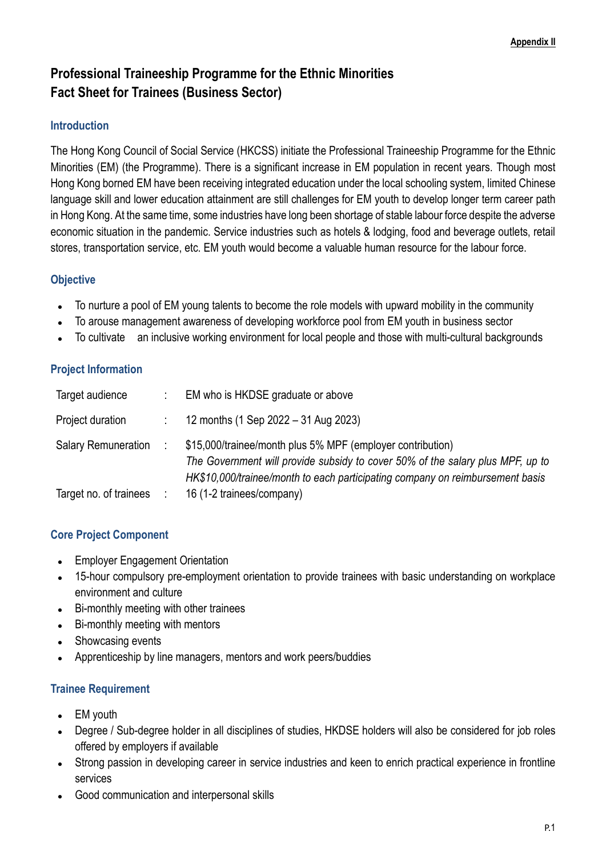# **Professional Traineeship Programme for the Ethnic Minorities Fact Sheet for Trainees (Business Sector)**

### **Introduction**

The Hong Kong Council of Social Service (HKCSS) initiate the Professional Traineeship Programme for the Ethnic Minorities (EM) (the Programme). There is a significant increase in EM population in recent years. Though most Hong Kong borned EM have been receiving integrated education under the local schooling system, limited Chinese language skill and lower education attainment are still challenges for EM youth to develop longer term career path in Hong Kong. At the same time, some industries have long been shortage of stable labour force despite the adverse economic situation in the pandemic. Service industries such as hotels & lodging, food and beverage outlets, retail stores, transportation service, etc. EM youth would become a valuable human resource for the labour force.

## **Objective**

- ⚫ To nurture a pool of EM young talents to become the role models with upward mobility in the community
- ⚫ To arouse management awareness of developing workforce pool from EM youth in business sector
- To cultivate an inclusive working environment for local people and those with multi-cultural backgrounds

## **Project Information**

| Target audience            | EM who is HKDSE graduate or above                                                                                                                                                                                             |
|----------------------------|-------------------------------------------------------------------------------------------------------------------------------------------------------------------------------------------------------------------------------|
| Project duration           | 12 months (1 Sep 2022 - 31 Aug 2023)                                                                                                                                                                                          |
| <b>Salary Remuneration</b> | \$15,000/trainee/month plus 5% MPF (employer contribution)<br>The Government will provide subsidy to cover 50% of the salary plus MPF, up to<br>HK\$10,000/trainee/month to each participating company on reimbursement basis |
| Target no. of trainees     | 16 (1-2 trainees/company)                                                                                                                                                                                                     |

## **Core Project Component**

- ⚫ Employer Engagement Orientation
- 15-hour compulsory pre-employment orientation to provide trainees with basic understanding on workplace environment and culture
- ⚫ Bi-monthly meeting with other trainees
- ⚫ Bi-monthly meeting with mentors
- Showcasing events
- Apprenticeship by line managers, mentors and work peers/buddies

## **Trainee Requirement**

- EM youth
- ⚫ Degree / Sub-degree holder in all disciplines of studies, HKDSE holders will also be considered for job roles offered by employers if available
- Strong passion in developing career in service industries and keen to enrich practical experience in frontline services
- ⚫ Good communication and interpersonal skills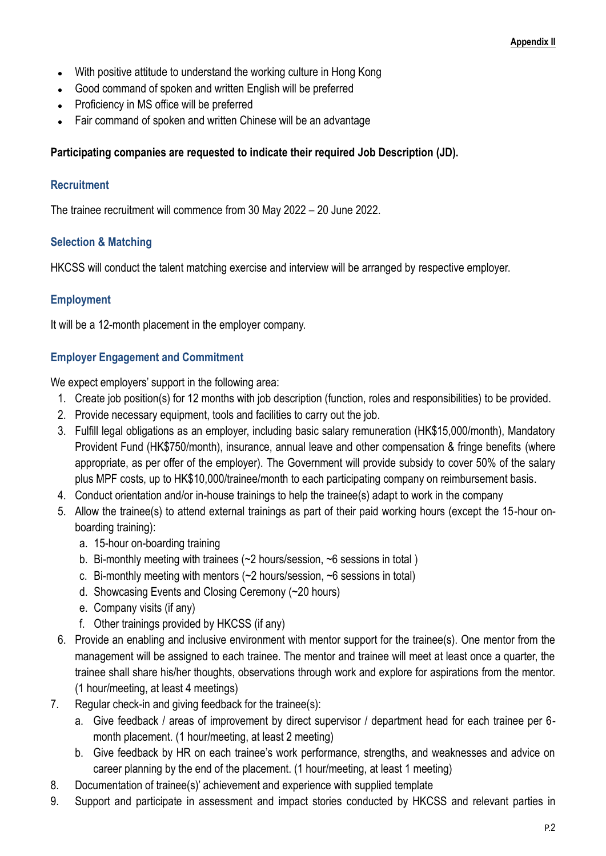- ⚫ With positive attitude to understand the working culture in Hong Kong
- Good command of spoken and written English will be preferred
- ⚫ Proficiency in MS office will be preferred
- Fair command of spoken and written Chinese will be an advantage

#### **Participating companies are requested to indicate their required Job Description (JD).**

#### **Recruitment**

The trainee recruitment will commence from 30 May 2022 – 20 June 2022.

#### **Selection & Matching**

HKCSS will conduct the talent matching exercise and interview will be arranged by respective employer.

#### **Employment**

It will be a 12-month placement in the employer company.

#### **Employer Engagement and Commitment**

We expect employers' support in the following area:

- 1. Create job position(s) for 12 months with job description (function, roles and responsibilities) to be provided.
- 2. Provide necessary equipment, tools and facilities to carry out the job.
- 3. Fulfill legal obligations as an employer, including basic salary remuneration (HK\$15,000/month), Mandatory Provident Fund (HK\$750/month), insurance, annual leave and other compensation & fringe benefits (where appropriate, as per offer of the employer). The Government will provide subsidy to cover 50% of the salary plus MPF costs, up to HK\$10,000/trainee/month to each participating company on reimbursement basis.
- 4. Conduct orientation and/or in-house trainings to help the trainee(s) adapt to work in the company
- 5. Allow the trainee(s) to attend external trainings as part of their paid working hours (except the 15-hour onboarding training):
	- a. 15-hour on-boarding training
	- b. Bi-monthly meeting with trainees (~2 hours/session, ~6 sessions in total )
	- c. Bi-monthly meeting with mentors (~2 hours/session, ~6 sessions in total)
	- d. Showcasing Events and Closing Ceremony (~20 hours)
	- e. Company visits (if any)
	- f. Other trainings provided by HKCSS (if any)
- 6. Provide an enabling and inclusive environment with mentor support for the trainee(s). One mentor from the management will be assigned to each trainee. The mentor and trainee will meet at least once a quarter, the trainee shall share his/her thoughts, observations through work and explore for aspirations from the mentor. (1 hour/meeting, at least 4 meetings)
- 7. Regular check-in and giving feedback for the trainee(s):
	- a. Give feedback / areas of improvement by direct supervisor / department head for each trainee per 6 month placement. (1 hour/meeting, at least 2 meeting)
	- b. Give feedback by HR on each trainee's work performance, strengths, and weaknesses and advice on career planning by the end of the placement. (1 hour/meeting, at least 1 meeting)
- 8. Documentation of trainee(s)' achievement and experience with supplied template
- 9. Support and participate in assessment and impact stories conducted by HKCSS and relevant parties in